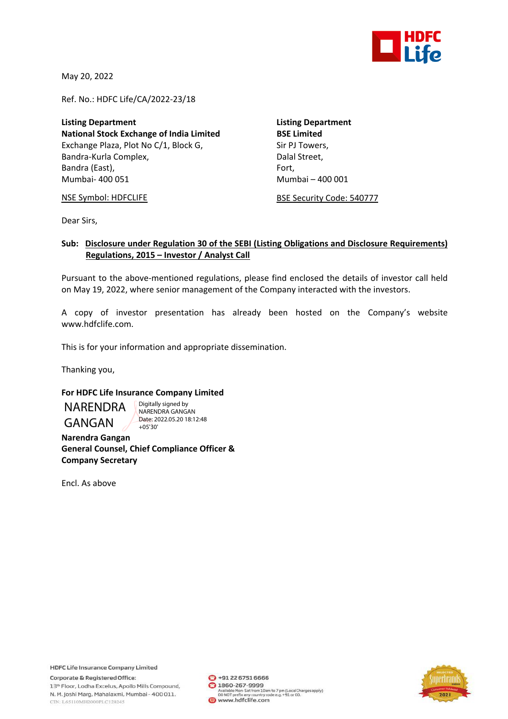

May 20, 2022

Ref. No.: HDFC Life/CA/2022‐23/18

**Listing Department Listing Department National Stock Exchange of India Limited BSE Limited** Exchange Plaza, Plot No C/1, Block G, Sir PJ Towers, Bandra‐Kurla Complex, Dalal Street, Bandra (East), **Bandra** (East), **Bandra** (East), **Exercise** Mumbai‐ 400 051 Mumbai – 400 001

NSE Symbol: HDFCLIFE **BESE Security Code: 540777** 

Dear Sirs,

## **Sub: Disclosure under Regulation 30 of the SEBI (Listing Obligations and Disclosure Requirements) Regulations, 2015 – Investor / Analyst Call**

Pursuant to the above-mentioned regulations, please find enclosed the details of investor call held on May 19, 2022, where senior management of the Company interacted with the investors.

A copy of investor presentation has already been hosted on the Company's website www.hdfclife.com.

This is for your information and appropriate dissemination.

Thanking you,

## **For HDFC Life Insurance Company Limited**

NARENDRA GANGAN

Digitally signed by NARENDRA GANGAN Date: 2022.05.20 18:12:48 +05'30'

**Narendra Gangan General Counsel, Chief Compliance Officer & Company Secretary** 

Encl. As above

**HDFC Life Insurance Company Limited** Corporate & Registered Office:

13th Floor, Lodha Excelus, Apollo Mills Compound, N. M. Joshi Marg, Mahalaxmi, Mumbai - 400 011. CIN: L65110MH2000PLC128245